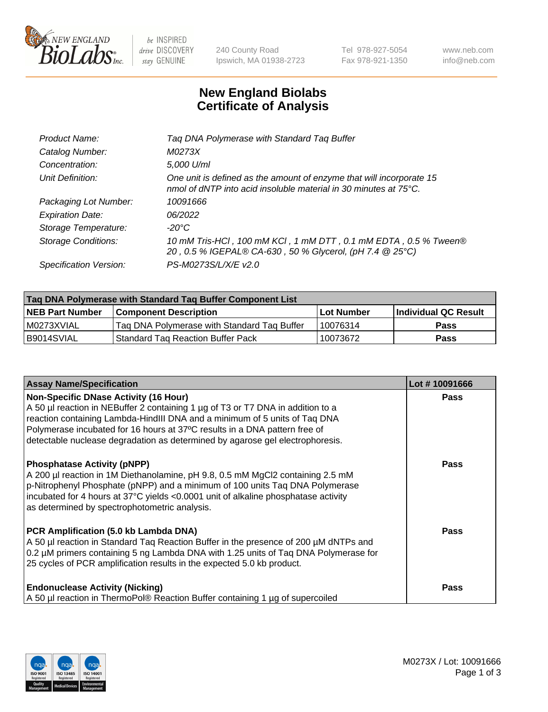

be INSPIRED drive DISCOVERY stay GENUINE

240 County Road Ipswich, MA 01938-2723 Tel 978-927-5054 Fax 978-921-1350 www.neb.com info@neb.com

## **New England Biolabs Certificate of Analysis**

| Product Name:           | Tag DNA Polymerase with Standard Tag Buffer                                                                                                        |
|-------------------------|----------------------------------------------------------------------------------------------------------------------------------------------------|
| Catalog Number:         | M0273X                                                                                                                                             |
| Concentration:          | 5,000 U/ml                                                                                                                                         |
| Unit Definition:        | One unit is defined as the amount of enzyme that will incorporate 15<br>nmol of dNTP into acid insoluble material in 30 minutes at $75^{\circ}$ C. |
| Packaging Lot Number:   | 10091666                                                                                                                                           |
| <b>Expiration Date:</b> | 06/2022                                                                                                                                            |
| Storage Temperature:    | $-20^{\circ}$ C                                                                                                                                    |
| Storage Conditions:     | 10 mM Tris-HCl, 100 mM KCl, 1 mM DTT, 0.1 mM EDTA, 0.5 % Tween®<br>20, 0.5 % IGEPAL® CA-630, 50 % Glycerol, (pH 7.4 @ 25°C)                        |
| Specification Version:  | PS-M0273S/L/X/E v2.0                                                                                                                               |

| Tag DNA Polymerase with Standard Tag Buffer Component List |                                             |                   |                      |  |
|------------------------------------------------------------|---------------------------------------------|-------------------|----------------------|--|
| <b>NEB Part Number</b>                                     | Component Description_                      | <b>Lot Number</b> | Individual QC Result |  |
| M0273XVIAL                                                 | Tag DNA Polymerase with Standard Tag Buffer | 10076314          | Pass                 |  |
| B9014SVIAL                                                 | <b>Standard Tag Reaction Buffer Pack</b>    | 10073672          | <b>Pass</b>          |  |

| <b>Assay Name/Specification</b>                                                                                                                                                                                                                                                                                                                                              | Lot #10091666 |
|------------------------------------------------------------------------------------------------------------------------------------------------------------------------------------------------------------------------------------------------------------------------------------------------------------------------------------------------------------------------------|---------------|
| <b>Non-Specific DNase Activity (16 Hour)</b><br>A 50 µl reaction in NEBuffer 2 containing 1 µg of T3 or T7 DNA in addition to a<br>reaction containing Lambda-HindIII DNA and a minimum of 5 units of Taq DNA<br>Polymerase incubated for 16 hours at 37°C results in a DNA pattern free of<br>detectable nuclease degradation as determined by agarose gel electrophoresis. | <b>Pass</b>   |
| <b>Phosphatase Activity (pNPP)</b><br>A 200 µl reaction in 1M Diethanolamine, pH 9.8, 0.5 mM MgCl2 containing 2.5 mM<br>p-Nitrophenyl Phosphate (pNPP) and a minimum of 100 units Taq DNA Polymerase<br>incubated for 4 hours at 37°C yields <0.0001 unit of alkaline phosphatase activity<br>as determined by spectrophotometric analysis.                                  | Pass          |
| PCR Amplification (5.0 kb Lambda DNA)<br>A 50 µl reaction in Standard Taq Reaction Buffer in the presence of 200 µM dNTPs and<br>0.2 µM primers containing 5 ng Lambda DNA with 1.25 units of Taq DNA Polymerase for<br>25 cycles of PCR amplification results in the expected 5.0 kb product.                                                                               | Pass          |
| <b>Endonuclease Activity (Nicking)</b><br>A 50 µl reaction in ThermoPol® Reaction Buffer containing 1 µg of supercoiled                                                                                                                                                                                                                                                      | <b>Pass</b>   |

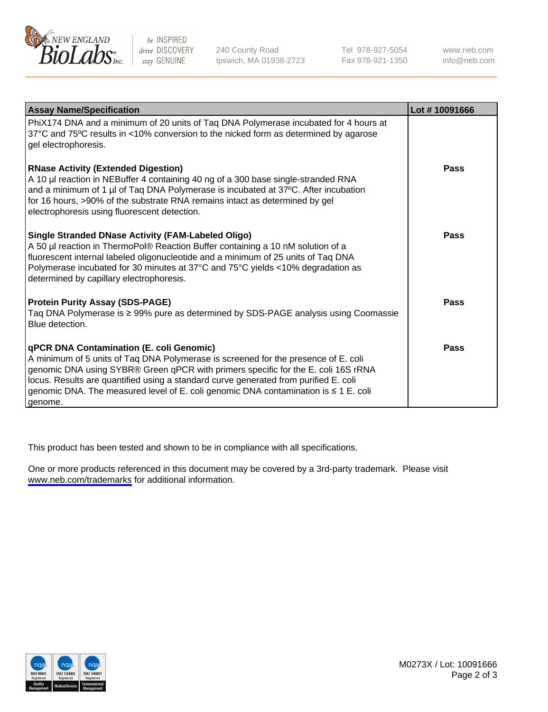

be INSPIRED drive DISCOVERY stay GENUINE

240 County Road Ipswich, MA 01938-2723 Tel 978-927-5054 Fax 978-921-1350

www.neb.com info@neb.com

| <b>Assay Name/Specification</b>                                                                                                                                                                                                                                                                                                                                                                                      | Lot #10091666 |
|----------------------------------------------------------------------------------------------------------------------------------------------------------------------------------------------------------------------------------------------------------------------------------------------------------------------------------------------------------------------------------------------------------------------|---------------|
| PhiX174 DNA and a minimum of 20 units of Taq DNA Polymerase incubated for 4 hours at<br>37°C and 75°C results in <10% conversion to the nicked form as determined by agarose<br>gel electrophoresis.                                                                                                                                                                                                                 |               |
| <b>RNase Activity (Extended Digestion)</b><br>A 10 µl reaction in NEBuffer 4 containing 40 ng of a 300 base single-stranded RNA<br>and a minimum of 1 µl of Taq DNA Polymerase is incubated at 37°C. After incubation<br>for 16 hours, >90% of the substrate RNA remains intact as determined by gel<br>electrophoresis using fluorescent detection.                                                                 | Pass          |
| Single Stranded DNase Activity (FAM-Labeled Oligo)<br>A 50 µl reaction in ThermoPol® Reaction Buffer containing a 10 nM solution of a<br>fluorescent internal labeled oligonucleotide and a minimum of 25 units of Taq DNA<br>Polymerase incubated for 30 minutes at 37°C and 75°C yields <10% degradation as<br>determined by capillary electrophoresis.                                                            | Pass          |
| <b>Protein Purity Assay (SDS-PAGE)</b><br>Taq DNA Polymerase is ≥ 99% pure as determined by SDS-PAGE analysis using Coomassie<br>Blue detection.                                                                                                                                                                                                                                                                     | <b>Pass</b>   |
| <b>qPCR DNA Contamination (E. coli Genomic)</b><br>A minimum of 5 units of Taq DNA Polymerase is screened for the presence of E. coli<br>genomic DNA using SYBR® Green qPCR with primers specific for the E. coli 16S rRNA<br>locus. Results are quantified using a standard curve generated from purified E. coli<br>genomic DNA. The measured level of E. coli genomic DNA contamination is ≤ 1 E. coli<br>genome. | Pass          |

This product has been tested and shown to be in compliance with all specifications.

One or more products referenced in this document may be covered by a 3rd-party trademark. Please visit <www.neb.com/trademarks>for additional information.